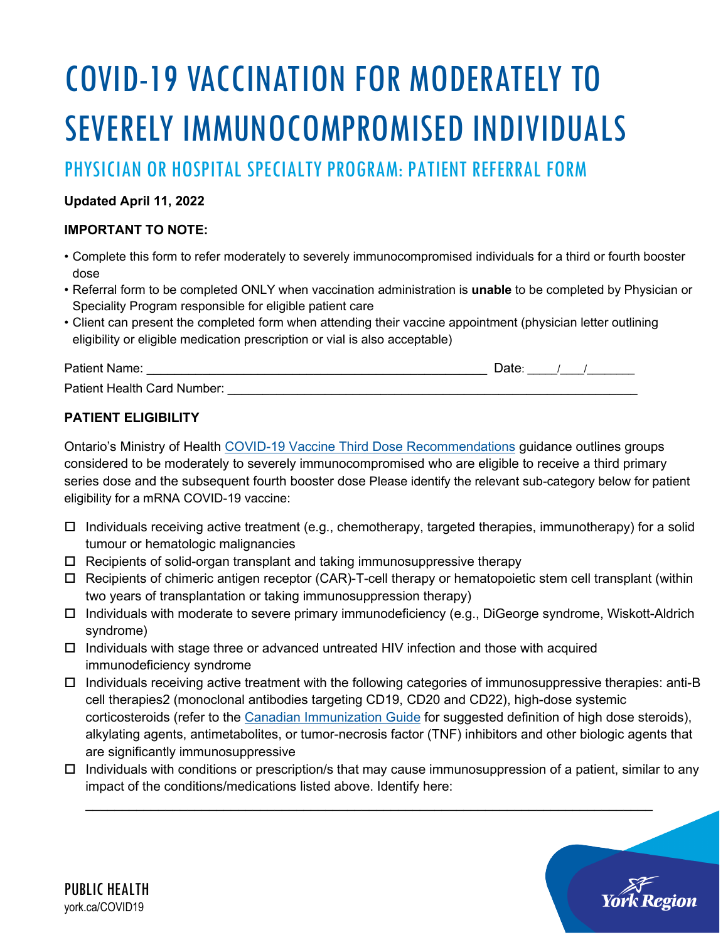# COVID-19 VACCINATION FOR MODERATELY TO SEVERELY IMMUNOCOMPROMISED INDIVIDUALS

PHYSICIAN OR HOSPITAL SPECIALTY PROGRAM: PATIENT REFERRAL FORM

### **Updated April 11, 2022**

#### **IMPORTANT TO NOTE:**

- Complete this form to refer moderately to severely immunocompromised individuals for a third or fourth booster dose
- Referral form to be completed ONLY when vaccination administration is **unable** to be completed by Physician or Speciality Program responsible for eligible patient care
- Client can present the completed form when attending their vaccine appointment (physician letter outlining eligibility or eligible medication prescription or vial is also acceptable)

| Patient Name:               |  |  |
|-----------------------------|--|--|
| Patient Health Card Number: |  |  |

## **PATIENT ELIGIBILITY**

Ontario's Ministry of Health [COVID-19 Vaccine Third Dose Recommendations](https://www.health.gov.on.ca/en/pro/programs/publichealth/coronavirus/docs/vaccine/COVID-19_vaccine_third_dose_recommendations.pdf) guidance outlines groups considered to be moderately to severely immunocompromised who are eligible to receive a third primary series dose and the subsequent fourth booster dose Please identify the relevant sub-category below for patient eligibility for a mRNA COVID-19 vaccine:

- $\Box$  Individuals receiving active treatment (e.g., chemotherapy, targeted therapies, immunotherapy) for a solid tumour or hematologic malignancies
- Recipients of solid-organ transplant and taking immunosuppressive therapy
- $\Box$  Recipients of chimeric antigen receptor (CAR)-T-cell therapy or hematopoietic stem cell transplant (within two years of transplantation or taking immunosuppression therapy)
- Individuals with moderate to severe primary immunodeficiency (e.g., DiGeorge syndrome, Wiskott-Aldrich syndrome)
- $\Box$  Individuals with stage three or advanced untreated HIV infection and those with acquired immunodeficiency syndrome
- $\Box$  Individuals receiving active treatment with the following categories of immunosuppressive therapies: anti-B cell therapies2 (monoclonal antibodies targeting CD19, CD20 and CD22), high-dose systemic corticosteroids (refer to the [Canadian Immunization Guide](https://www.canada.ca/en/public-health/services/publications/healthy-living/canadian-immunization-guide-part-3-vaccination-specific-populations/page-8-immunization-immunocompromised-persons.html) for suggested definition of high dose steroids), alkylating agents, antimetabolites, or tumor-necrosis factor (TNF) inhibitors and other biologic agents that are significantly immunosuppressive
- $\Box$  Individuals with conditions or prescription/s that may cause immunosuppression of a patient, similar to any impact of the conditions/medications listed above. Identify here:

\_\_\_\_\_\_\_\_\_\_\_\_\_\_\_\_\_\_\_\_\_\_\_\_\_\_\_\_\_\_\_\_\_\_\_\_\_\_\_\_\_\_\_\_\_\_\_\_\_\_\_\_\_\_\_\_\_\_\_\_\_\_\_\_\_\_\_\_\_\_\_\_\_\_\_\_\_\_